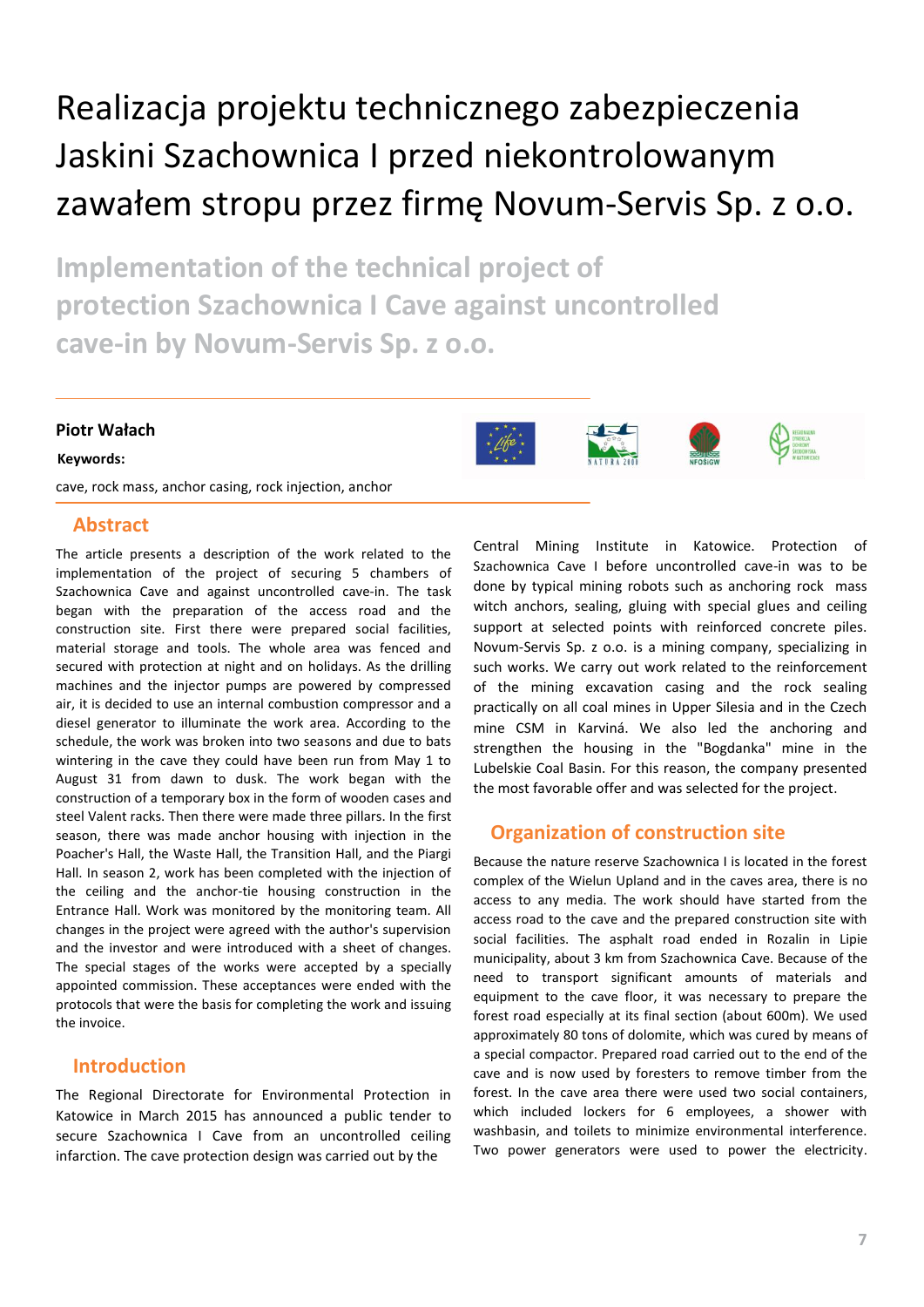# Realizacja projektu technicznego zabezpieczenia Jaskini Szachownica I przed niekontrolowanym zawałem stropu przez firmę Novum-Servis Sp. z o.o.

**Implementation of the technical project of protection Szachownica I Cave against uncontrolled cave-in by Novum-Servis Sp. z o.o.**

### **Piotr Wałach**

#### **Keywords:**

cave, rock mass, anchor casing, rock injection, anchor

## **Abstract**

The article presents a description of the work related to the implementation of the project of securing 5 chambers of Szachownica Cave and against uncontrolled cave-in. The task began with the preparation of the access road and the construction site. First there were prepared social facilities, material storage and tools. The whole area was fenced and secured with protection at night and on holidays. As the drilling machines and the injector pumps are powered by compressed air, it is decided to use an internal combustion compressor and a diesel generator to illuminate the work area. According to the schedule, the work was broken into two seasons and due to bats wintering in the cave they could have been run from May 1 to August 31 from dawn to dusk. The work began with the construction of a temporary box in the form of wooden cases and steel Valent racks. Then there were made three pillars. In the first season, there was made anchor housing with injection in the Poacher's Hall, the Waste Hall, the Transition Hall, and the Piargi Hall. In season 2, work has been completed with the injection of the ceiling and the anchor-tie housing construction in the Entrance Hall. Work was monitored by the monitoring team. All changes in the project were agreed with the author's supervision and the investor and were introduced with a sheet of changes. The special stages of the works were accepted by a specially appointed commission. These acceptances were ended with the protocols that were the basis for completing the work and issuing the invoice.

## **Introduction**

The Regional Directorate for Environmental Protection in Katowice in March 2015 has announced a public tender to secure Szachownica I Cave from an uncontrolled ceiling infarction. The cave protection design was carried out by the

Central Mining Institute in Katowice. Protection of Szachownica Cave I before uncontrolled cave-in was to be done by typical mining robots such as anchoring rock mass witch anchors, sealing, gluing with special glues and ceiling support at selected points with reinforced concrete piles. Novum-Servis Sp. z o.o. is a mining company, specializing in such works. We carry out work related to the reinforcement of the mining excavation casing and the rock sealing practically on all coal mines in Upper Silesia and in the Czech mine CSM in Karviná. We also led the anchoring and strengthen the housing in the "Bogdanka" mine in the Lubelskie Coal Basin. For this reason, the company presented the most favorable offer and was selected for the project.

## **Organization of construction site**

Because the nature reserve Szachownica I is located in the forest complex of the Wielun Upland and in the caves area, there is no access to any media. The work should have started from the access road to the cave and the prepared construction site with social facilities. The asphalt road ended in Rozalin in Lipie municipality, about 3 km from Szachownica Cave. Because of the need to transport significant amounts of materials and equipment to the cave floor, it was necessary to prepare the forest road especially at its final section (about 600m). We used approximately 80 tons of dolomite, which was cured by means of a special compactor. Prepared road carried out to the end of the cave and is now used by foresters to remove timber from the forest. In the cave area there were used two social containers, which included lockers for 6 employees, a shower with washbasin, and toilets to minimize environmental interference. Two power generators were used to power the electricity.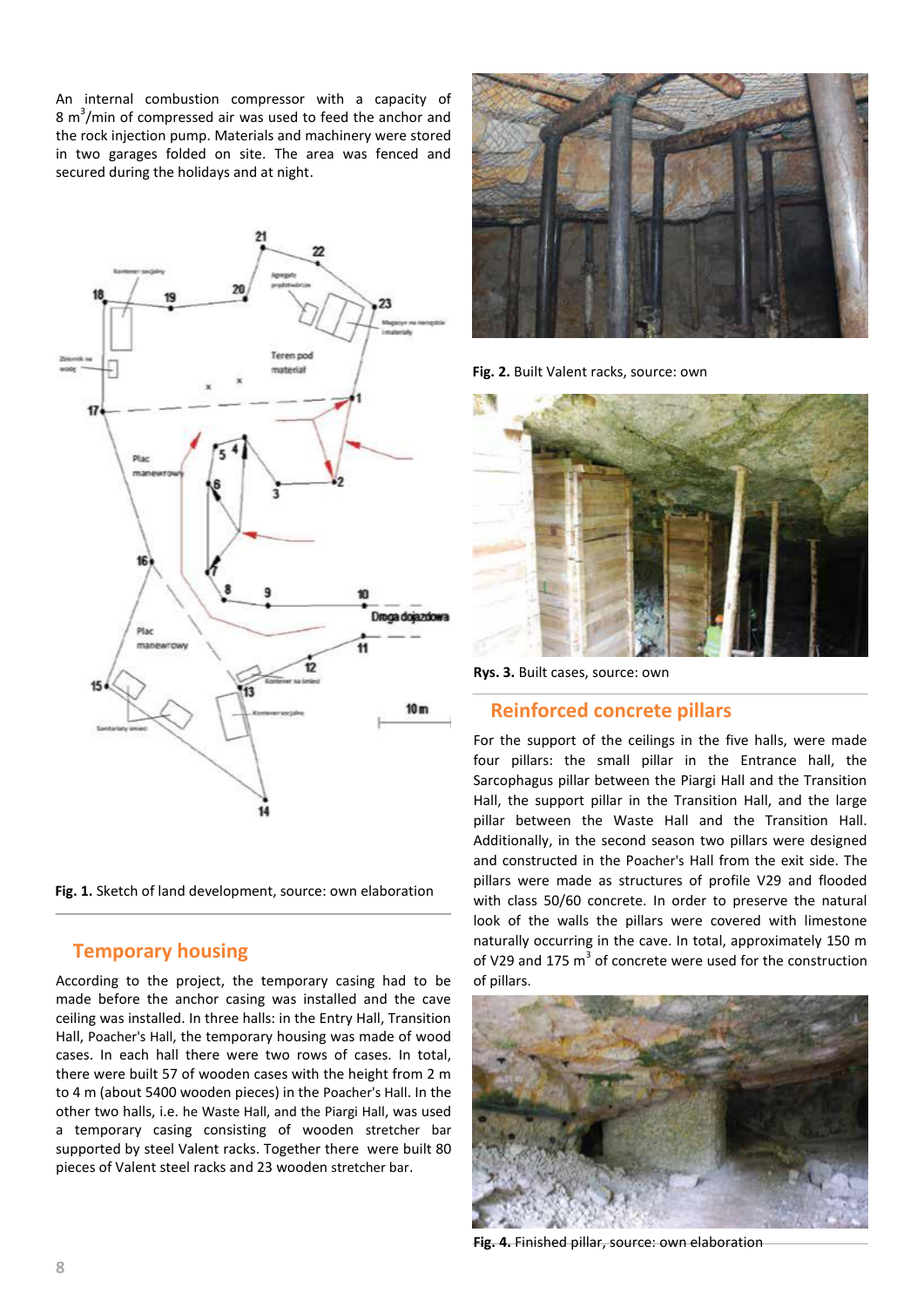An internal combustion compressor with a capacity of 8  $\text{m}^3/\text{min}$  of compressed air was used to feed the anchor and the rock injection pump. Materials and machinery were stored in two garages folded on site. The area was fenced and secured during the holidays and at night.



**Fig. 1.** Sketch of land development, source: own elaboration

# **Temporary housing**

According to the project, the temporary casing had to be made before the anchor casing was installed and the cave ceiling was installed. In three halls: in the Entry Hall, Transition Hall, Poacher's Hall, the temporary housing was made of wood cases. In each hall there were two rows of cases. In total, there were built 57 of wooden cases with the height from 2 m to 4 m (about 5400 wooden pieces) in the Poacher's Hall. In the other two halls, i.e. he Waste Hall, and the Piargi Hall, was used a temporary casing consisting of wooden stretcher bar supported by steel Valent racks. Together there were built 80 pieces of Valent steel racks and 23 wooden stretcher bar.



**Fig. 2.** Built Valent racks, source: own



**Rys. 3.** Built cases, source: own

## **Reinforced concrete pillars**

For the support of the ceilings in the five halls, were made four pillars: the small pillar in the Entrance hall, the Sarcophagus pillar between the Piargi Hall and the Transition Hall, the support pillar in the Transition Hall, and the large pillar between the Waste Hall and the Transition Hall. Additionally, in the second season two pillars were designed and constructed in the Poacher's Hall from the exit side. The pillars were made as structures of profile V29 and flooded with class 50/60 concrete. In order to preserve the natural look of the walls the pillars were covered with limestone naturally occurring in the cave. In total, approximately 150 m of V29 and 175  $m^3$  of concrete were used for the construction of pillars.



**Fig. 4.** Finished pillar, source: own elaboration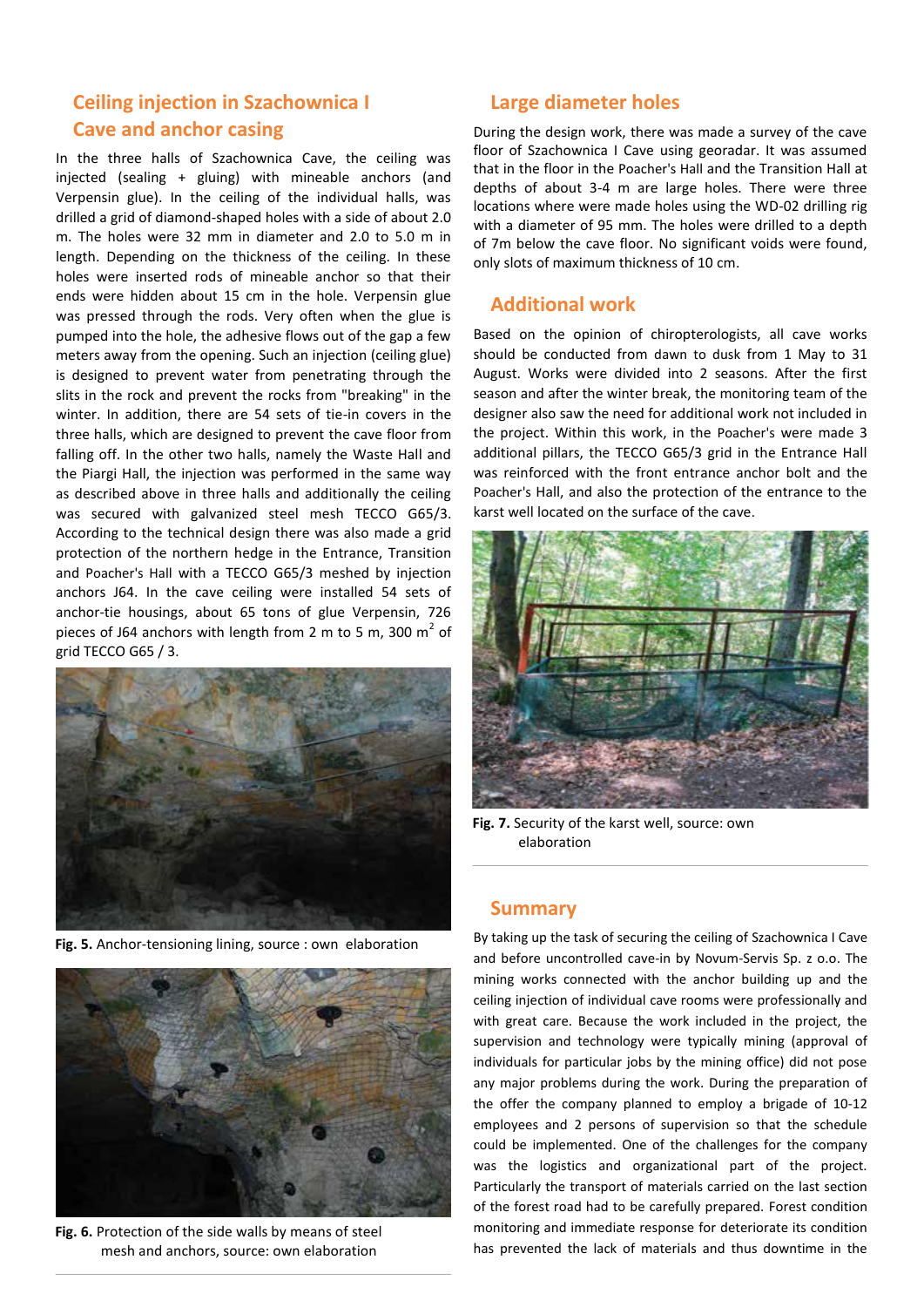# **Ceiling injection in Szachownica I Cave and anchor casing**

In the three halls of Szachownica Cave, the ceiling was injected (sealing + gluing) with mineable anchors (and Verpensin glue). In the ceiling of the individual halls, was drilled a grid of diamond-shaped holes with a side of about 2.0 m. The holes were 32 mm in diameter and 2.0 to 5.0 m in length. Depending on the thickness of the ceiling. In these holes were inserted rods of mineable anchor so that their ends were hidden about 15 cm in the hole. Verpensin glue was pressed through the rods. Very often when the glue is pumped into the hole, the adhesive flows out of the gap a few meters away from the opening. Such an injection (ceiling glue) is designed to prevent water from penetrating through the slits in the rock and prevent the rocks from "breaking" in the winter. In addition, there are 54 sets of tie-in covers in the three halls, which are designed to prevent the cave floor from falling off. In the other two halls, namely the Waste Hall and the Piargi Hall, the injection was performed in the same way as described above in three halls and additionally the ceiling was secured with galvanized steel mesh TECCO G65/3. According to the technical design there was also made a grid protection of the northern hedge in the Entrance, Transition and Poacher's Hall with a TECCO G65/3 meshed by injection anchors J64. In the cave ceiling were installed 54 sets of anchor-tie housings, about 65 tons of glue Verpensin, 726 pieces of J64 anchors with length from 2 m to 5 m, 300  $m^2$  of grid TECCO G65 / 3.



**Fig. 5.** Anchor-tensioning lining, source : own elaboration



**Fig. 6.** Protection of the side walls by means of steel mesh and anchors, source: own elaboration

## **Large diameter holes**

During the design work, there was made a survey of the cave floor of Szachownica I Cave using georadar. It was assumed that in the floor in the Poacher's Hall and the Transition Hall at depths of about 3-4 m are large holes. There were three locations where were made holes using the WD-02 drilling rig with a diameter of 95 mm. The holes were drilled to a depth of 7m below the cave floor. No significant voids were found, only slots of maximum thickness of 10 cm.

## **Additional work**

Based on the opinion of chiropterologists, all cave works should be conducted from dawn to dusk from 1 May to 31 August. Works were divided into 2 seasons. After the first season and after the winter break, the monitoring team of the designer also saw the need for additional work not included in the project. Within this work, in the Poacher's were made 3 additional pillars, the TECCO G65/3 grid in the Entrance Hall was reinforced with the front entrance anchor bolt and the Poacher's Hall, and also the protection of the entrance to the karst well located on the surface of the cave.



**Fig. 7.** Security of the karst well, source: own elaboration

#### **Summary**

By taking up the task of securing the ceiling of Szachownica I Cave and before uncontrolled cave-in by Novum-Servis Sp. z o.o. The mining works connected with the anchor building up and the ceiling injection of individual cave rooms were professionally and with great care. Because the work included in the project, the supervision and technology were typically mining (approval of individuals for particular jobs by the mining office) did not pose any major problems during the work. During the preparation of the offer the company planned to employ a brigade of 10-12 employees and 2 persons of supervision so that the schedule could be implemented. One of the challenges for the company was the logistics and organizational part of the project. Particularly the transport of materials carried on the last section of the forest road had to be carefully prepared. Forest condition monitoring and immediate response for deteriorate its condition has prevented the lack of materials and thus downtime in the